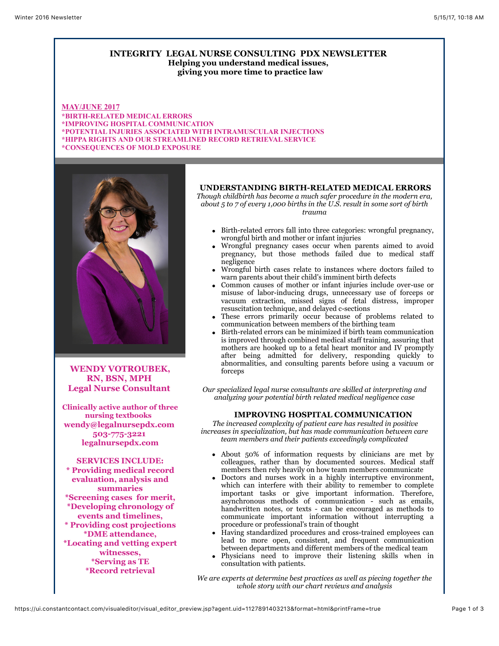# **INTEGRITY LEGAL NURSE CONSULTING PDX NEWSLETTER Helping you understand medical issues, giving you more time to practice law**

**MAY/JUNE 2017 \*BIRTH-RELATED MEDICAL ERRORS \*IMPROVING HOSPITAL COMMUNICATION \*POTENTIAL INJURIES ASSOCIATED WITH INTRAMUSCULAR INJECTIONS \*HIPPA RIGHTS AND OUR STREAMLINED RECORD RETRIEVAL SERVICE \*CONSEQUENCES OF MOLD EXPOSURE**



**WENDY VOTROUBEK, RN, BSN, MPH Legal Nurse Consultant** 

**Clinically active author of three nursing textbooks wendy@legalnursepdx.com 503-775-3221 legalnursepdx.com**

**SERVICES INCLUDE: \* Providing medical record evaluation, analysis and summaries \*Screening cases for merit, \*Developing chronology of events and timelines, \* Providing cost projections \*DME attendance, \*Locating and vetting expert witnesses, \*Serving as TE \*Record retrieval**

# **UNDERSTANDING BIRTH-RELATED MEDICAL ERRORS**

*Though childbirth has become a much safer procedure in the modern era, about 5 to 7 of every 1,000 births in the U.S. result in some sort of birth trauma*

- Birth-related errors fall into three categories: wrongful pregnancy,  $\bullet$ wrongful birth and mother or infant injuries
- Wrongful pregnancy cases occur when parents aimed to avoid pregnancy, but those methods failed due to medical staff negligence
- Wrongful birth cases relate to instances where doctors failed to warn parents about their child's imminent birth defects
- Common causes of mother or infant injuries include over-use or misuse of labor-inducing drugs, unnecessary use of forceps or vacuum extraction, missed signs of fetal distress, improper resuscitation technique, and delayed c-sections
- These errors primarily occur because of problems related to communication between members of the birthing team
- Birth-related errors can be minimized if birth team communication is improved through combined medical staff training, assuring that mothers are hooked up to a fetal heart monitor and IV promptly after being admitted for delivery, responding quickly to abnormalities, and consulting parents before using a vacuum or forceps

*Our specialized legal nurse consultants are skilled at interpreting and analyzing your potential birth related medical negligence case*

# **IMPROVING HOSPITAL COMMUNICATION**

 *The increased complexity of patient care has resulted in positive increases in specialization, but has made communication between care team members and their patients exceedingly complicated*

- About 50% of information requests by clinicians are met by colleagues, rather than by documented sources. Medical staff members then rely heavily on how team members communicate
- Doctors and nurses work in a highly interruptive environment, which can interfere with their ability to remember to complete important tasks or give important information. Therefore, asynchronous methods of communication - such as emails, handwritten notes, or texts - can be encouraged as methods to communicate important information without interrupting a procedure or professional's train of thought
- Having standardized procedures and cross-trained employees can lead to more open, consistent, and frequent communication between departments and different members of the medical team
- Physicians need to improve their listening skills when in consultation with patients.

*We are experts at determine best practices as well as piecing together the whole story with our chart reviews and analysis*